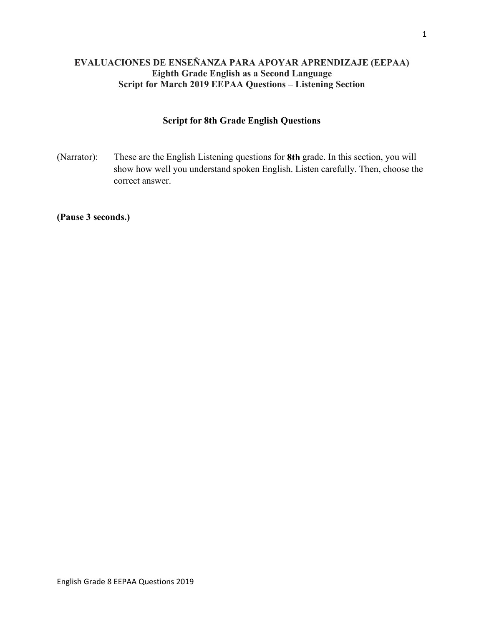# **EVALUACIONES DE ENSEÑANZA PARA APOYAR APRENDIZAJE (EEPAA) Eighth Grade English as a Second Language Script for March 2019 EEPAA Questions – Listening Section**

# **Script for 8th Grade English Questions**

(Narrator): These are the English Listening questions for **8th** grade. In this section, you will show how well you understand spoken English. Listen carefully. Then, choose the correct answer.

**(Pause 3 seconds.)**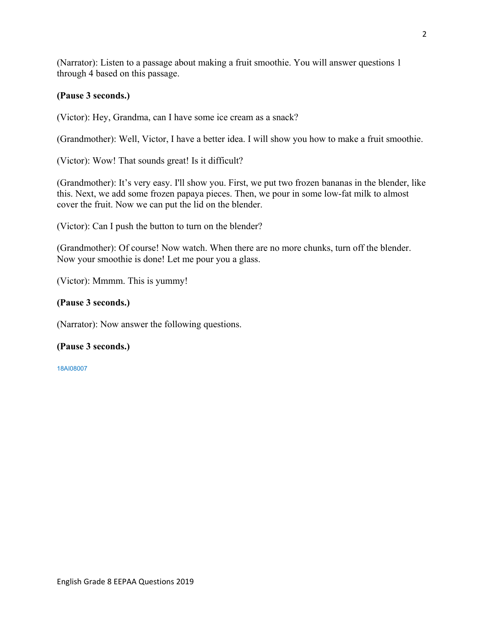(Narrator): Listen to a passage about making a fruit smoothie. You will answer questions 1 through 4 based on this passage.

# **(Pause 3 seconds.)**

(Victor): Hey, Grandma, can I have some ice cream as a snack?

(Grandmother): Well, Victor, I have a better idea. I will show you how to make a fruit smoothie.

(Victor): Wow! That sounds great! Is it difficult?

(Grandmother): It's very easy. I'll show you. First, we put two frozen bananas in the blender, like this. Next, we add some frozen papaya pieces. Then, we pour in some low-fat milk to almost cover the fruit. Now we can put the lid on the blender.

(Victor): Can I push the button to turn on the blender?

(Grandmother): Of course! Now watch. When there are no more chunks, turn off the blender. Now your smoothie is done! Let me pour you a glass.

(Victor): Mmmm. This is yummy!

# **(Pause 3 seconds.)**

(Narrator): Now answer the following questions.

### **(Pause 3 seconds.)**

18AI08007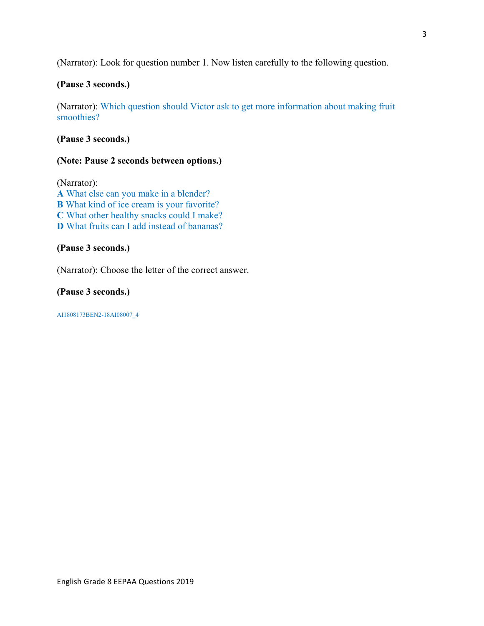(Narrator): Look for question number 1. Now listen carefully to the following question.

# **(Pause 3 seconds.)**

(Narrator): Which question should Victor ask to get more information about making fruit smoothies?

## **(Pause 3 seconds.)**

### **(Note: Pause 2 seconds between options.)**

(Narrator): **A** What else can you make in a blender? **B** What kind of ice cream is your favorite? **C** What other healthy snacks could I make? **D** What fruits can I add instead of bananas?

## **(Pause 3 seconds.)**

(Narrator): Choose the letter of the correct answer.

### **(Pause 3 seconds.)**

AI1808173BEN2-18AI08007\_4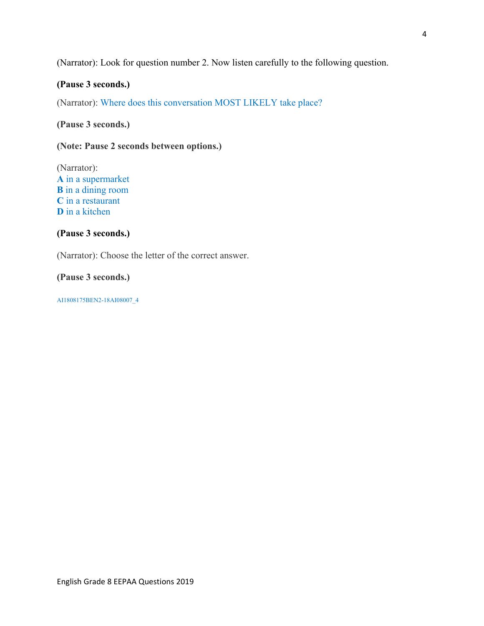# (Narrator): Look for question number 2. Now listen carefully to the following question.

## **(Pause 3 seconds.)**

(Narrator): Where does this conversation MOST LIKELY take place?

**(Pause 3 seconds.)** 

**(Note: Pause 2 seconds between options.)** 

(Narrator): **A** in a supermarket **B** in a dining room **C** in a restaurant **D** in a kitchen

#### **(Pause 3 seconds.)**

(Narrator): Choose the letter of the correct answer.

**(Pause 3 seconds.)** 

AI1808175BEN2-18AI08007\_4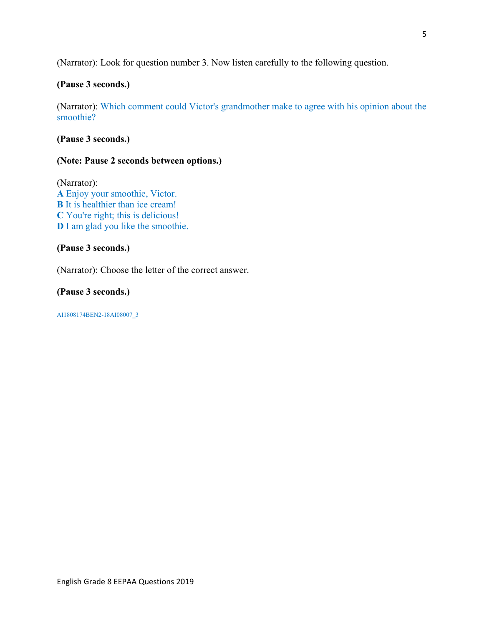(Narrator): Look for question number 3. Now listen carefully to the following question.

# **(Pause 3 seconds.)**

(Narrator): Which comment could Victor's grandmother make to agree with his opinion about the smoothie?

## **(Pause 3 seconds.)**

### **(Note: Pause 2 seconds between options.)**

(Narrator): **A** Enjoy your smoothie, Victor. **B** It is healthier than ice cream! **C** You're right; this is delicious! **D** I am glad you like the smoothie.

## **(Pause 3 seconds.)**

(Narrator): Choose the letter of the correct answer.

### **(Pause 3 seconds.)**

AI1808174BEN2-18AI08007\_3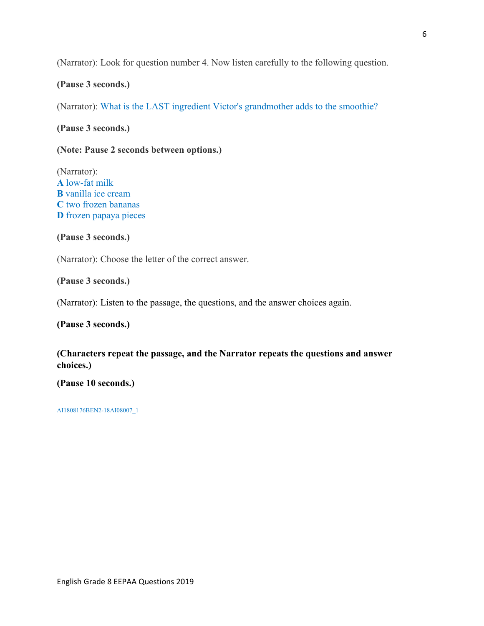(Narrator): Look for question number 4. Now listen carefully to the following question.

#### **(Pause 3 seconds.)**

(Narrator): What is the LAST ingredient Victor's grandmother adds to the smoothie?

**(Pause 3 seconds.)** 

**(Note: Pause 2 seconds between options.)** 

(Narrator): **A** low-fat milk **B** vanilla ice cream **C** two frozen bananas **D** frozen papaya pieces

**(Pause 3 seconds.)** 

(Narrator): Choose the letter of the correct answer.

**(Pause 3 seconds.)** 

(Narrator): Listen to the passage, the questions, and the answer choices again.

**(Pause 3 seconds.)** 

**(Characters repeat the passage, and the Narrator repeats the questions and answer choices.)** 

**(Pause 10 seconds.)**

AI1808176BEN2-18AI08007\_1